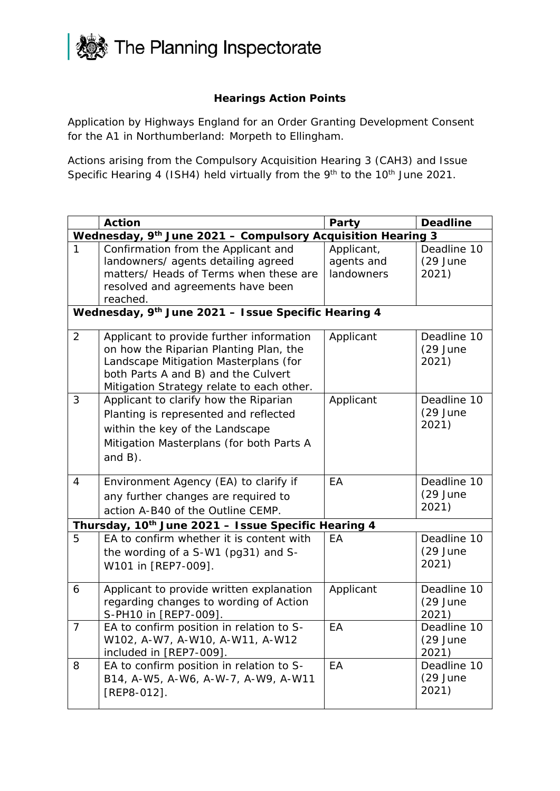

## **Hearings Action Points**

Application by Highways England for an Order Granting Development Consent for the A1 in Northumberland: Morpeth to Ellingham.

Actions arising from the Compulsory Acquisition Hearing 3 (CAH3) and Issue Specific Hearing 4 (ISH4) held virtually from the 9<sup>th</sup> to the 10<sup>th</sup> June 2021.

|                                                             | <b>Action</b>                                                                                                                                                                                                   | Party                                  | <b>Deadline</b>                    |  |
|-------------------------------------------------------------|-----------------------------------------------------------------------------------------------------------------------------------------------------------------------------------------------------------------|----------------------------------------|------------------------------------|--|
| Wednesday, 9th June 2021 - Compulsory Acquisition Hearing 3 |                                                                                                                                                                                                                 |                                        |                                    |  |
| 1                                                           | Confirmation from the Applicant and<br>landowners/ agents detailing agreed<br>matters/ Heads of Terms when these are<br>resolved and agreements have been                                                       | Applicant,<br>agents and<br>landowners | Deadline 10<br>$(29$ June<br>2021) |  |
|                                                             | reached.                                                                                                                                                                                                        |                                        |                                    |  |
| Wednesday, 9th June 2021 - Issue Specific Hearing 4         |                                                                                                                                                                                                                 |                                        |                                    |  |
| 2                                                           | Applicant to provide further information<br>on how the Riparian Planting Plan, the<br>Landscape Mitigation Masterplans (for<br>both Parts A and B) and the Culvert<br>Mitigation Strategy relate to each other. | Applicant                              | Deadline 10<br>$(29$ June<br>2021) |  |
| 3                                                           | Applicant to clarify how the Riparian<br>Planting is represented and reflected<br>within the key of the Landscape<br>Mitigation Masterplans (for both Parts A<br>and $B$ ).                                     | Applicant                              | Deadline 10<br>$(29$ June<br>2021) |  |
| $\overline{4}$                                              | Environment Agency (EA) to clarify if<br>any further changes are required to<br>action A-B40 of the Outline CEMP.                                                                                               | EA                                     | Deadline 10<br>$(29$ June<br>2021) |  |
|                                                             | Thursday, 10 <sup>th</sup> June 2021 - Issue Specific Hearing 4                                                                                                                                                 |                                        |                                    |  |
| 5                                                           | EA to confirm whether it is content with<br>the wording of a S-W1 (pg31) and S-<br>W101 in [REP7-009].                                                                                                          | EA                                     | Deadline 10<br>$(29$ June<br>2021) |  |
| 6                                                           | Applicant to provide written explanation<br>regarding changes to wording of Action<br>S-PH10 in [REP7-009].                                                                                                     | Applicant                              | Deadline 10<br>$(29$ June<br>2021) |  |
| $\overline{7}$                                              | EA to confirm position in relation to S-<br>W102, A-W7, A-W10, A-W11, A-W12<br>included in [REP7-009].                                                                                                          | EA                                     | Deadline 10<br>$(29$ June<br>2021) |  |
| 8                                                           | EA to confirm position in relation to S-<br>B14, A-W5, A-W6, A-W-7, A-W9, A-W11<br>$[REP8-012]$ .                                                                                                               | EA                                     | Deadline 10<br>$(29$ June<br>2021) |  |